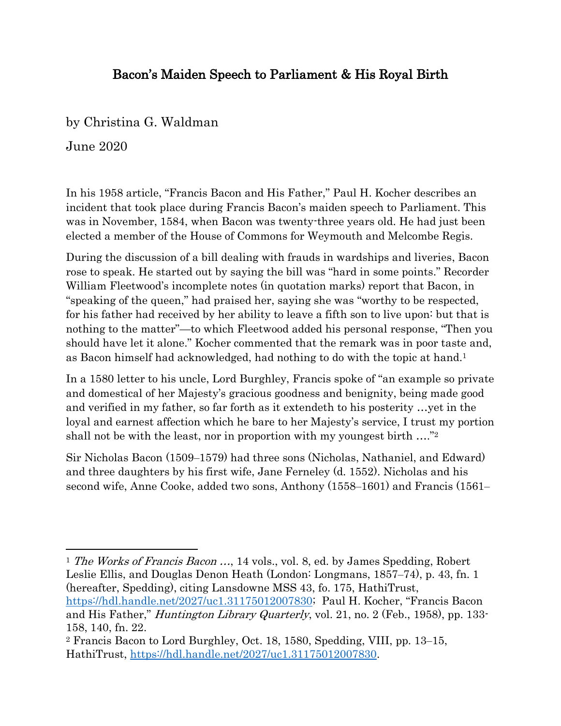## Bacon's Maiden Speech to Parliament & His Royal Birth

by Christina G. Waldman

June 2020

In his 1958 article, "Francis Bacon and His Father," Paul H. Kocher describes an incident that took place during Francis Bacon's maiden speech to Parliament. This was in November, 1584, when Bacon was twenty-three years old. He had just been elected a member of the House of Commons for Weymouth and Melcombe Regis.

During the discussion of a bill dealing with frauds in wardships and liveries, Bacon rose to speak. He started out by saying the bill was "hard in some points." Recorder William Fleetwood's incomplete notes (in quotation marks) report that Bacon, in "speaking of the queen," had praised her, saying she was "worthy to be respected, for his father had received by her ability to leave a fifth son to live upon: but that is nothing to the matter"—to which Fleetwood added his personal response, "Then you should have let it alone." Kocher commented that the remark was in poor taste and, as Bacon himself had acknowledged, had nothing to do with the topic at hand. 1

In a 1580 letter to his uncle, Lord Burghley, Francis spoke of "an example so private and domestical of her Majesty's gracious goodness and benignity, being made good and verified in my father, so far forth as it extendeth to his posterity …yet in the loyal and earnest affection which he bare to her Majesty's service, I trust my portion shall not be with the least, nor in proportion with my youngest birth ...."?

Sir Nicholas Bacon (1509–1579) had three sons (Nicholas, Nathaniel, and Edward) and three daughters by his first wife, Jane Ferneley (d. 1552). Nicholas and his second wife, Anne Cooke, added two sons, Anthony (1558-1601) and Francis (1561-

<sup>1</sup> The Works of Francis Bacon ..., 14 vols., vol. 8, ed. by James Spedding, Robert Leslie Ellis, and Douglas Denon Heath (London: Longmans, 1857–74), p. 43, fn. 1 (hereafter, Spedding), citing Lansdowne MSS 43, fo. 175, HathiTrust, [https://hdl.handle.net/2027/uc1.31175012007830;](https://hdl.handle.net/2027/uc1.31175012007830) Paul H. Kocher, "Francis Bacon and His Father," Huntington Library Quarterly, vol. 21, no. 2 (Feb., 1958), pp. 133- 158, 140, fn. 22.

<sup>2</sup> Francis Bacon to Lord Burghley, Oct. 18, 1580, Spedding, VIII, pp. 13‒15, HathiTrust, [https://hdl.handle.net/2027/uc1.31175012007830.](https://hdl.handle.net/2027/uc1.31175012007830)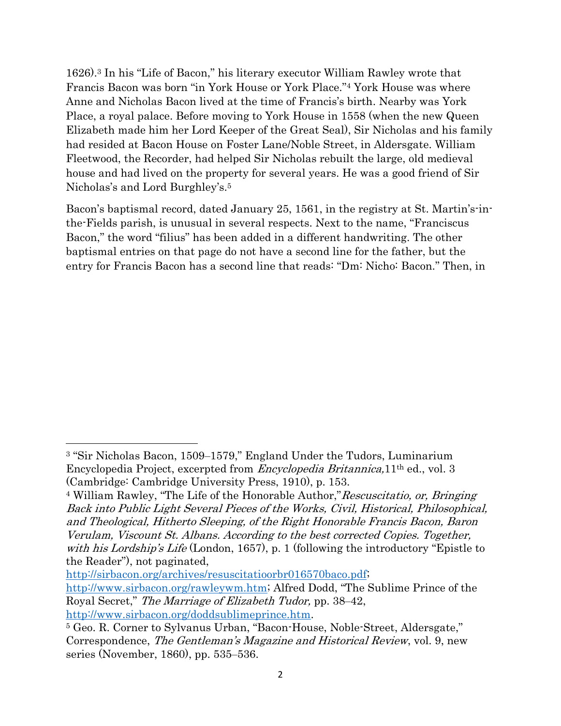1626).<sup>3</sup> In his "Life of Bacon," his literary executor William Rawley wrote that Francis Bacon was born "in York House or York Place."<sup>4</sup> York House was where Anne and Nicholas Bacon lived at the time of Francis's birth. Nearby was York Place, a royal palace. Before moving to York House in 1558 (when the new Queen Elizabeth made him her Lord Keeper of the Great Seal), Sir Nicholas and his family had resided at Bacon House on Foster Lane/Noble Street, in Aldersgate. William Fleetwood, the Recorder, had helped Sir Nicholas rebuilt the large, old medieval house and had lived on the property for several years. He was a good friend of Sir Nicholas's and Lord Burghley's. 5

Bacon's baptismal record, dated January 25, 1561, in the registry at St. Martin's-inthe-Fields parish, is unusual in several respects. Next to the name, "Franciscus Bacon," the word "filius" has been added in a different handwriting. The other baptismal entries on that page do not have a second line for the father, but the entry for Francis Bacon has a second line that reads: "Dm: Nicho: Bacon." Then, in

[http://sirbacon.org/archives/resuscitatioorbr016570baco.pdf;](http://sirbacon.org/archives/resuscitatioorbr016570baco.pdf) <http://www.sirbacon.org/rawleywm.htm>; Alfred Dodd, "The Sublime Prince of the Royal Secret," The Marriage of Elizabeth Tudor, pp. 38–42,

<sup>&</sup>lt;sup>3</sup> "Sir Nicholas Bacon, 1509-1579," England Under the Tudors, Luminarium Encyclopedia Project, excerpted from Encyclopedia Britannica,11th ed., vol. 3 (Cambridge: Cambridge University Press, 1910), p. 153.

<sup>&</sup>lt;sup>4</sup> William Rawley, "The Life of the Honorable Author," Rescuscitatio, or, Bringing Back into Public Light Several Pieces of the Works, Civil, Historical, Philosophical, and Theological, Hitherto Sleeping, of the Right Honorable Francis Bacon, Baron Verulam, Viscount St. Albans. According to the best corrected Copies. Together, with his Lordship's Life (London, 1657), p. 1 (following the introductory "Epistle to the Reader"), not paginated,

[http://www.sirbacon.org/doddsublimeprince.htm.](http://www.sirbacon.org/doddsublimeprince.htm)

<sup>5</sup> Geo. R. Corner to Sylvanus Urban, "Bacon-House, Noble-Street, Aldersgate," Correspondence, The Gentleman's Magazine and Historical Review, vol. 9, new series (November, 1860), pp. 535–536.